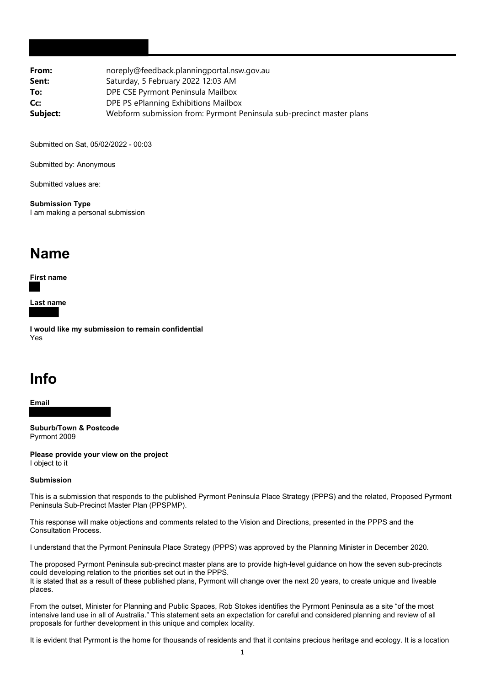| noreply@feedback.planningportal.nsw.gov.au                           |
|----------------------------------------------------------------------|
| Saturday, 5 February 2022 12:03 AM                                   |
| DPE CSE Pyrmont Peninsula Mailbox                                    |
| DPE PS ePlanning Exhibitions Mailbox                                 |
| Webform submission from: Pyrmont Peninsula sub-precinct master plans |
|                                                                      |

Submitted on Sat, 05/02/2022 - 00:03

Submitted by: Anonymous

Submitted values are:

**Submission Type** I am making a personal submission

## **Name**

**First name**

**Last name**

**I would like my submission to remain confidential** Yes

## **Info**

**Email**

**Suburb/Town & Postcode** Pyrmont 2009

**Please provide your view on the project** I object to it

## **Submission**

This is a submission that responds to the published Pyrmont Peninsula Place Strategy (PPPS) and the related, Proposed Pyrmont Peninsula Sub-Precinct Master Plan (PPSPMP).

This response will make objections and comments related to the Vision and Directions, presented in the PPPS and the Consultation Process.

I understand that the Pyrmont Peninsula Place Strategy (PPPS) was approved by the Planning Minister in December 2020.

The proposed Pyrmont Peninsula sub-precinct master plans are to provide high-level guidance on how the seven sub-precincts could developing relation to the priorities set out in the PPPS.

It is stated that as a result of these published plans, Pyrmont will change over the next 20 years, to create unique and liveable places.

From the outset, Minister for Planning and Public Spaces, Rob Stokes identifies the Pyrmont Peninsula as a site "of the most intensive land use in all of Australia." This statement sets an expectation for careful and considered planning and review of all proposals for further development in this unique and complex locality.

It is evident that Pyrmont is the home for thousands of residents and that it contains precious heritage and ecology. It is a location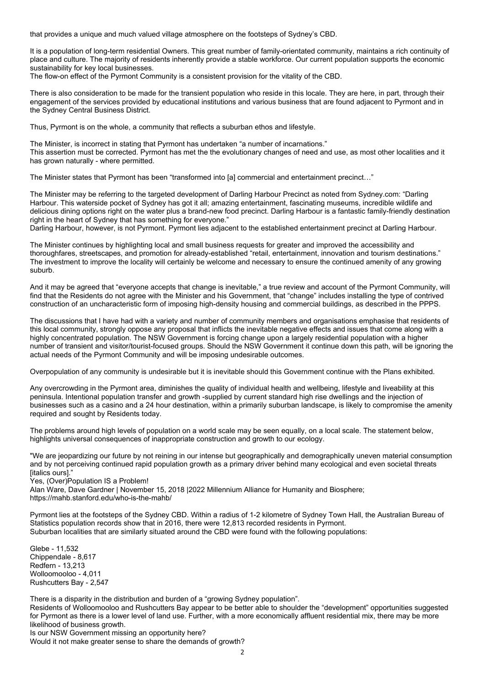that provides a unique and much valued village atmosphere on the footsteps of Sydney's CBD.

It is a population of long-term residential Owners. This great number of family-orientated community, maintains a rich continuity of place and culture. The majority of residents inherently provide a stable workforce. Our current population supports the economic sustainability for key local businesses.

The flow-on effect of the Pyrmont Community is a consistent provision for the vitality of the CBD.

There is also consideration to be made for the transient population who reside in this locale. They are here, in part, through their engagement of the services provided by educational institutions and various business that are found adjacent to Pyrmont and in the Sydney Central Business District.

Thus, Pyrmont is on the whole, a community that reflects a suburban ethos and lifestyle.

The Minister, is incorrect in stating that Pyrmont has undertaken "a number of incarnations." This assertion must be corrected. Pyrmont has met the the evolutionary changes of need and use, as most other localities and it has grown naturally - where permitted.

The Minister states that Pyrmont has been "transformed into [a] commercial and entertainment precinct…"

The Minister may be referring to the targeted development of Darling Harbour Precinct as noted from Sydney.com: "Darling Harbour. This waterside pocket of Sydney has got it all; amazing entertainment, fascinating museums, incredible wildlife and delicious dining options right on the water plus a brand-new food precinct. Darling Harbour is a fantastic family-friendly destination right in the heart of Sydney that has something for everyone."

Darling Harbour, however, is not Pyrmont. Pyrmont lies adjacent to the established entertainment precinct at Darling Harbour.

The Minister continues by highlighting local and small business requests for greater and improved the accessibility and thoroughfares, streetscapes, and promotion for already-established "retail, entertainment, innovation and tourism destinations." The investment to improve the locality will certainly be welcome and necessary to ensure the continued amenity of any growing suburb.

And it may be agreed that "everyone accepts that change is inevitable," a true review and account of the Pyrmont Community, will find that the Residents do not agree with the Minister and his Government, that "change" includes installing the type of contrived construction of an uncharacteristic form of imposing high-density housing and commercial buildings, as described in the PPPS.

The discussions that I have had with a variety and number of community members and organisations emphasise that residents of this local community, strongly oppose any proposal that inflicts the inevitable negative effects and issues that come along with a highly concentrated population. The NSW Government is forcing change upon a largely residential population with a higher number of transient and visitor/tourist-focused groups. Should the NSW Government it continue down this path, will be ignoring the actual needs of the Pyrmont Community and will be imposing undesirable outcomes.

Overpopulation of any community is undesirable but it is inevitable should this Government continue with the Plans exhibited.

Any overcrowding in the Pyrmont area, diminishes the quality of individual health and wellbeing, lifestyle and liveability at this peninsula. Intentional population transfer and growth -supplied by current standard high rise dwellings and the injection of businesses such as a casino and a 24 hour destination, within a primarily suburban landscape, is likely to compromise the amenity required and sought by Residents today.

The problems around high levels of population on a world scale may be seen equally, on a local scale. The statement below, highlights universal consequences of inappropriate construction and growth to our ecology.

"We are jeopardizing our future by not reining in our intense but geographically and demographically uneven material consumption and by not perceiving continued rapid population growth as a primary driver behind many ecological and even societal threats [italics ours]."

Yes, (Over)Population IS a Problem!

Alan Ware, Dave Gardner | November 15, 2018 |2022 Millennium Alliance for Humanity and Biosphere; https://mahb.stanford.edu/who-is-the-mahb/

Pyrmont lies at the footsteps of the Sydney CBD. Within a radius of 1-2 kilometre of Sydney Town Hall, the Australian Bureau of Statistics population records show that in 2016, there were 12,813 recorded residents in Pyrmont. Suburban localities that are similarly situated around the CBD were found with the following populations:

Glebe - 11,532 Chippendale - 8,617 Redfern - 13,213 Wolloomooloo - 4,011 Rushcutters Bay - 2,547

There is a disparity in the distribution and burden of a "growing Sydney population".

Residents of Wolloomooloo and Rushcutters Bay appear to be better able to shoulder the "development" opportunities suggested for Pyrmont as there is a lower level of land use. Further, with a more economically affluent residential mix, there may be more likelihood of business growth.

Is our NSW Government missing an opportunity here? Would it not make greater sense to share the demands of growth?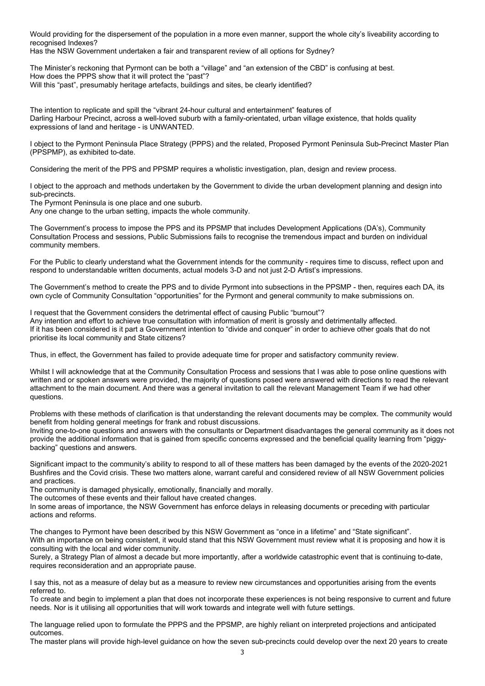Would providing for the dispersement of the population in a more even manner, support the whole city's liveability according to recognised Indexes?

Has the NSW Government undertaken a fair and transparent review of all options for Sydney?

The Minister's reckoning that Pyrmont can be both a "village" and "an extension of the CBD" is confusing at best. How does the PPPS show that it will protect the "past"? Will this "past", presumably heritage artefacts, buildings and sites, be clearly identified?

The intention to replicate and spill the "vibrant 24-hour cultural and entertainment" features of Darling Harbour Precinct, across a well-loved suburb with a family-orientated, urban village existence, that holds quality expressions of land and heritage - is UNWANTED.

I object to the Pyrmont Peninsula Place Strategy (PPPS) and the related, Proposed Pyrmont Peninsula Sub-Precinct Master Plan (PPSPMP), as exhibited to-date.

Considering the merit of the PPS and PPSMP requires a wholistic investigation, plan, design and review process.

I object to the approach and methods undertaken by the Government to divide the urban development planning and design into sub-precincts.

The Pyrmont Peninsula is one place and one suburb.

Any one change to the urban setting, impacts the whole community.

The Government's process to impose the PPS and its PPSMP that includes Development Applications (DA's), Community Consultation Process and sessions, Public Submissions fails to recognise the tremendous impact and burden on individual community members.

For the Public to clearly understand what the Government intends for the community - requires time to discuss, reflect upon and respond to understandable written documents, actual models 3-D and not just 2-D Artist's impressions.

The Government's method to create the PPS and to divide Pyrmont into subsections in the PPSMP - then, requires each DA, its own cycle of Community Consultation "opportunities" for the Pyrmont and general community to make submissions on.

I request that the Government considers the detrimental effect of causing Public "burnout"? Any intention and effort to achieve true consultation with information of merit is grossly and detrimentally affected. If it has been considered is it part a Government intention to "divide and conquer" in order to achieve other goals that do not prioritise its local community and State citizens?

Thus, in effect, the Government has failed to provide adequate time for proper and satisfactory community review.

Whilst I will acknowledge that at the Community Consultation Process and sessions that I was able to pose online questions with written and or spoken answers were provided, the majority of questions posed were answered with directions to read the relevant attachment to the main document. And there was a general invitation to call the relevant Management Team if we had other questions.

Problems with these methods of clarification is that understanding the relevant documents may be complex. The community would benefit from holding general meetings for frank and robust discussions.

Inviting one-to-one questions and answers with the consultants or Department disadvantages the general community as it does not provide the additional information that is gained from specific concerns expressed and the beneficial quality learning from "piggybacking" questions and answers.

Significant impact to the community's ability to respond to all of these matters has been damaged by the events of the 2020-2021 Bushfires and the Covid crisis. These two matters alone, warrant careful and considered review of all NSW Government policies and practices.

The community is damaged physically, emotionally, financially and morally.

The outcomes of these events and their fallout have created changes.

In some areas of importance, the NSW Government has enforce delays in releasing documents or preceding with particular actions and reforms.

The changes to Pyrmont have been described by this NSW Government as "once in a lifetime" and "State significant". With an importance on being consistent, it would stand that this NSW Government must review what it is proposing and how it is consulting with the local and wider community.

Surely, a Strategy Plan of almost a decade but more importantly, after a worldwide catastrophic event that is continuing to-date, requires reconsideration and an appropriate pause.

I say this, not as a measure of delay but as a measure to review new circumstances and opportunities arising from the events referred to.

To create and begin to implement a plan that does not incorporate these experiences is not being responsive to current and future needs. Nor is it utilising all opportunities that will work towards and integrate well with future settings.

The language relied upon to formulate the PPPS and the PPSMP, are highly reliant on interpreted projections and anticipated outcomes.

The master plans will provide high-level guidance on how the seven sub-precincts could develop over the next 20 years to create